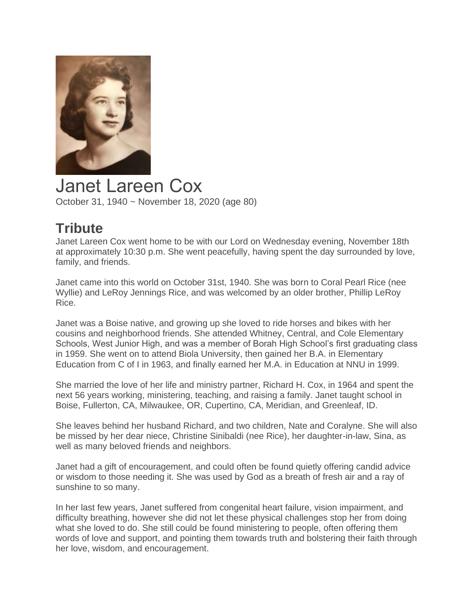

Janet Lareen Cox October 31, 1940 ~ November 18, 2020 (age 80)

## **Tribute**

Janet Lareen Cox went home to be with our Lord on Wednesday evening, November 18th at approximately 10:30 p.m. She went peacefully, having spent the day surrounded by love, family, and friends.

Janet came into this world on October 31st, 1940. She was born to Coral Pearl Rice (nee Wyllie) and LeRoy Jennings Rice, and was welcomed by an older brother, Phillip LeRoy Rice.

Janet was a Boise native, and growing up she loved to ride horses and bikes with her cousins and neighborhood friends. She attended Whitney, Central, and Cole Elementary Schools, West Junior High, and was a member of Borah High School's first graduating class in 1959. She went on to attend Biola University, then gained her B.A. in Elementary Education from C of I in 1963, and finally earned her M.A. in Education at NNU in 1999.

She married the love of her life and ministry partner, Richard H. Cox, in 1964 and spent the next 56 years working, ministering, teaching, and raising a family. Janet taught school in Boise, Fullerton, CA, Milwaukee, OR, Cupertino, CA, Meridian, and Greenleaf, ID.

She leaves behind her husband Richard, and two children, Nate and Coralyne. She will also be missed by her dear niece, Christine Sinibaldi (nee Rice), her daughter-in-law, Sina, as well as many beloved friends and neighbors.

Janet had a gift of encouragement, and could often be found quietly offering candid advice or wisdom to those needing it. She was used by God as a breath of fresh air and a ray of sunshine to so many.

In her last few years, Janet suffered from congenital heart failure, vision impairment, and difficulty breathing, however she did not let these physical challenges stop her from doing what she loved to do. She still could be found ministering to people, often offering them words of love and support, and pointing them towards truth and bolstering their faith through her love, wisdom, and encouragement.